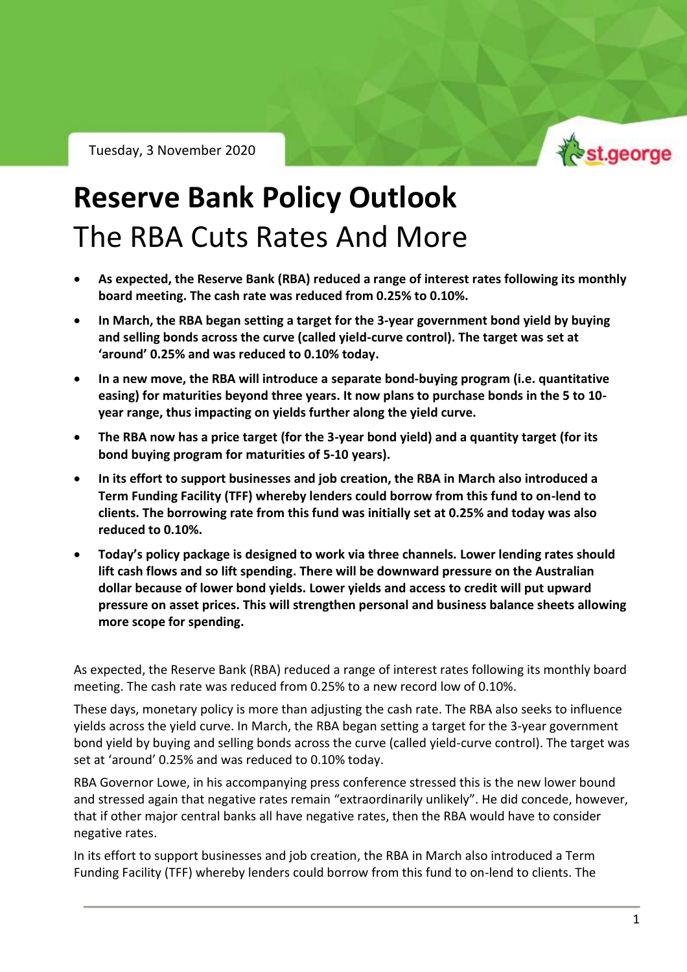Tuesday, 3 November 2020



RBA Policy Outlook – Tuesday 3 November 2020

## **Reserve Bank Policy Outlook** The RBA Cuts Rates And More

- **As expected, the Reserve Bank (RBA) reduced a range of interest rates following its monthly board meeting. The cash rate was reduced from 0.25% to 0.10%.**
- **In March, the RBA began setting a target for the 3-year government bond yield by buying and selling bonds across the curve (called yield-curve control). The target was set at 'around' 0.25% and was reduced to 0.10% today.**
- **In a new move, the RBA will introduce a separate bond-buying program (i.e. quantitative easing) for maturities beyond three years. It now plans to purchase bonds in the 5 to 10 year range, thus impacting on yields further along the yield curve.**
- **The RBA now has a price target (for the 3-year bond yield) and a quantity target (for its bond buying program for maturities of 5-10 years).**
- **In its effort to support businesses and job creation, the RBA in March also introduced a Term Funding Facility (TFF) whereby lenders could borrow from this fund to on-lend to clients. The borrowing rate from this fund was initially set at 0.25% and today was also reduced to 0.10%.**
- **Today's policy package is designed to work via three channels. Lower lending rates should lift cash flows and so lift spending. There will be downward pressure on the Australian dollar because of lower bond yields. Lower yields and access to credit will put upward pressure on asset prices. This will strengthen personal and business balance sheets allowing more scope for spending.**

As expected, the Reserve Bank (RBA) reduced a range of interest rates following its monthly board meeting. The cash rate was reduced from 0.25% to a new record low of 0.10%.

These days, monetary policy is more than adjusting the cash rate. The RBA also seeks to influence yields across the yield curve. In March, the RBA began setting a target for the 3-year government bond yield by buying and selling bonds across the curve (called yield-curve control). The target was set at 'around' 0.25% and was reduced to 0.10% today.

RBA Governor Lowe, in his accompanying press conference stressed this is the new lower bound and stressed again that negative rates remain "extraordinarily unlikely". He did concede, however, that if other major central banks all have negative rates, then the RBA would have to consider negative rates.

In its effort to support businesses and job creation, the RBA in March also introduced a Term Funding Facility (TFF) whereby lenders could borrow from this fund to on-lend to clients. The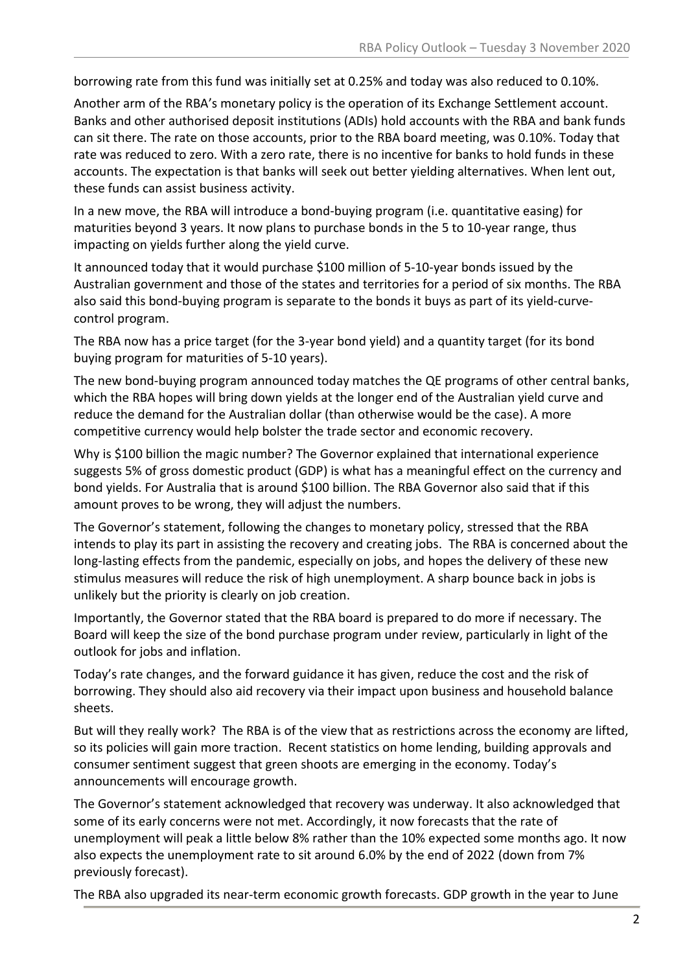borrowing rate from this fund was initially set at 0.25% and today was also reduced to 0.10%.

Another arm of the RBA's monetary policy is the operation of its Exchange Settlement account. Banks and other authorised deposit institutions (ADIs) hold accounts with the RBA and bank funds can sit there. The rate on those accounts, prior to the RBA board meeting, was 0.10%. Today that rate was reduced to zero. With a zero rate, there is no incentive for banks to hold funds in these accounts. The expectation is that banks will seek out better yielding alternatives. When lent out, these funds can assist business activity.

In a new move, the RBA will introduce a bond-buying program (i.e. quantitative easing) for maturities beyond 3 years. It now plans to purchase bonds in the 5 to 10-year range, thus impacting on yields further along the yield curve.

It announced today that it would purchase \$100 million of 5-10-year bonds issued by the Australian government and those of the states and territories for a period of six months. The RBA also said this bond-buying program is separate to the bonds it buys as part of its yield-curvecontrol program.

The RBA now has a price target (for the 3-year bond yield) and a quantity target (for its bond buying program for maturities of 5-10 years).

The new bond-buying program announced today matches the QE programs of other central banks, which the RBA hopes will bring down yields at the longer end of the Australian yield curve and reduce the demand for the Australian dollar (than otherwise would be the case). A more competitive currency would help bolster the trade sector and economic recovery.

Why is \$100 billion the magic number? The Governor explained that international experience suggests 5% of gross domestic product (GDP) is what has a meaningful effect on the currency and bond yields. For Australia that is around \$100 billion. The RBA Governor also said that if this amount proves to be wrong, they will adjust the numbers.

The Governor's statement, following the changes to monetary policy, stressed that the RBA intends to play its part in assisting the recovery and creating jobs. The RBA is concerned about the long-lasting effects from the pandemic, especially on jobs, and hopes the delivery of these new stimulus measures will reduce the risk of high unemployment. A sharp bounce back in jobs is unlikely but the priority is clearly on job creation.

Importantly, the Governor stated that the RBA board is prepared to do more if necessary. The Board will keep the size of the bond purchase program under review, particularly in light of the outlook for jobs and inflation.

Today's rate changes, and the forward guidance it has given, reduce the cost and the risk of borrowing. They should also aid recovery via their impact upon business and household balance sheets.

But will they really work? The RBA is of the view that as restrictions across the economy are lifted, so its policies will gain more traction. Recent statistics on home lending, building approvals and consumer sentiment suggest that green shoots are emerging in the economy. Today's announcements will encourage growth.

The Governor's statement acknowledged that recovery was underway. It also acknowledged that some of its early concerns were not met. Accordingly, it now forecasts that the rate of unemployment will peak a little below 8% rather than the 10% expected some months ago. It now also expects the unemployment rate to sit around 6.0% by the end of 2022 (down from 7% previously forecast).

The RBA also upgraded its near-term economic growth forecasts. GDP growth in the year to June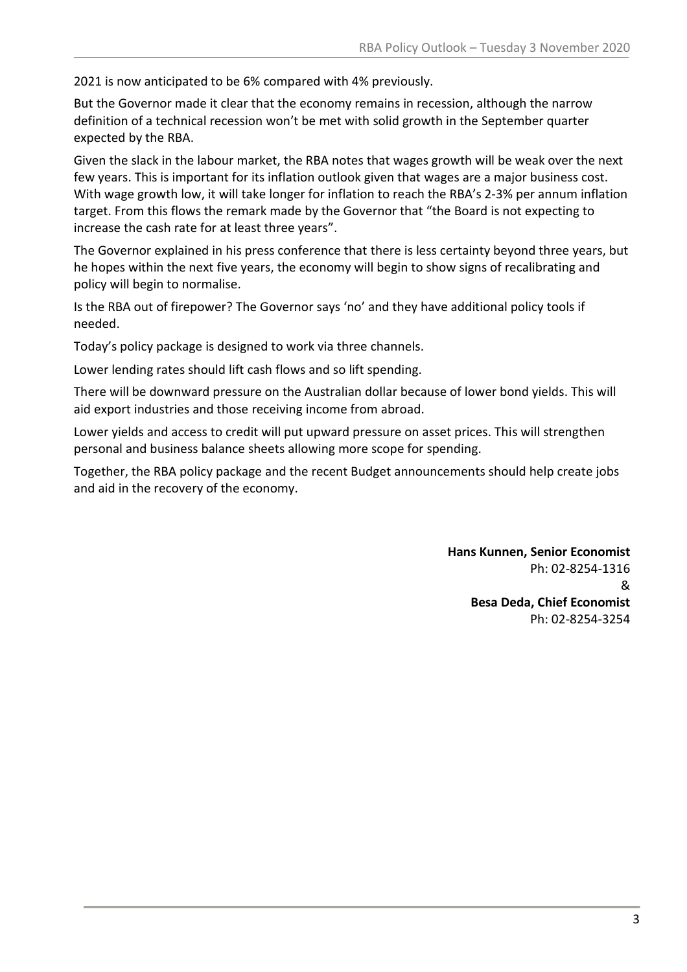2021 is now anticipated to be 6% compared with 4% previously.

But the Governor made it clear that the economy remains in recession, although the narrow definition of a technical recession won't be met with solid growth in the September quarter expected by the RBA.

Given the slack in the labour market, the RBA notes that wages growth will be weak over the next few years. This is important for its inflation outlook given that wages are a major business cost. With wage growth low, it will take longer for inflation to reach the RBA's 2-3% per annum inflation target. From this flows the remark made by the Governor that "the Board is not expecting to increase the cash rate for at least three years".

The Governor explained in his press conference that there is less certainty beyond three years, but he hopes within the next five years, the economy will begin to show signs of recalibrating and policy will begin to normalise.

Is the RBA out of firepower? The Governor says 'no' and they have additional policy tools if needed.

Today's policy package is designed to work via three channels.

Lower lending rates should lift cash flows and so lift spending.

There will be downward pressure on the Australian dollar because of lower bond yields. This will aid export industries and those receiving income from abroad.

Lower yields and access to credit will put upward pressure on asset prices. This will strengthen personal and business balance sheets allowing more scope for spending.

Together, the RBA policy package and the recent Budget announcements should help create jobs and aid in the recovery of the economy.

> **Hans Kunnen, Senior Economist** Ph: 02-8254-1316 & **Besa Deda, Chief Economist** Ph: 02-8254-3254